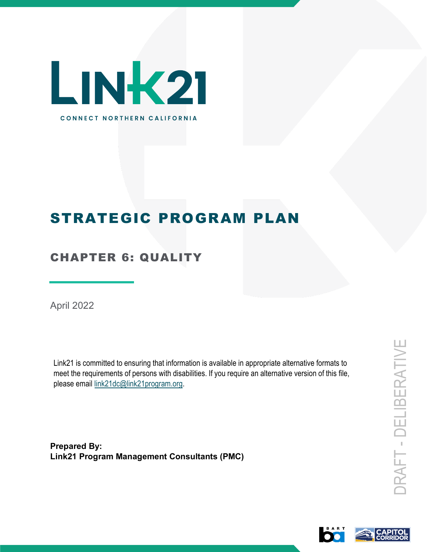

# STRATEGIC PROGRAM PLAN

# CHAPTER 6: QUALITY

April 2022

Link21 is committed to ensuring that information is available in appropriate alternative formats to meet the requirements of persons with disabilities. If you require an alternative version of this file, please email link21dc@link21program.org.

**Prepared By: Link21 Program Management Consultants (PMC)**

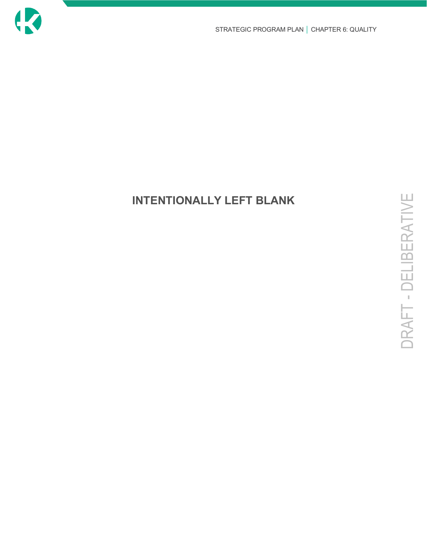

# **INTENTIONALLY LEFT BLANK**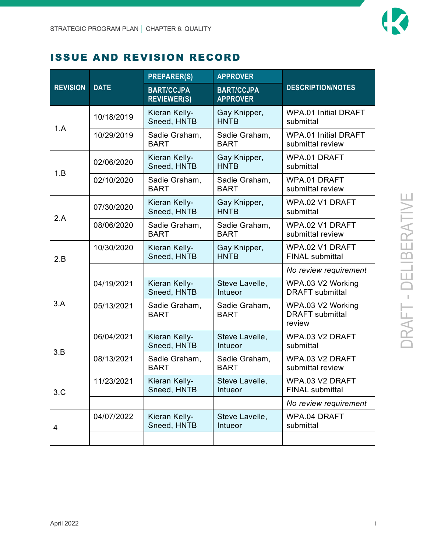

### ISSUE AND REVISION RECORD

|                 |             | <b>PREPARER(S)</b>                      | <b>APPROVER</b>                      | <b>DESCRIPTION/NOTES</b>                              |  |
|-----------------|-------------|-----------------------------------------|--------------------------------------|-------------------------------------------------------|--|
| <b>REVISION</b> | <b>DATE</b> | <b>BART/CCJPA</b><br><b>REVIEWER(S)</b> | <b>BART/CCJPA</b><br><b>APPROVER</b> |                                                       |  |
|                 | 10/18/2019  | Kieran Kelly-<br>Sneed, HNTB            | Gay Knipper,<br><b>HNTB</b>          | <b>WPA.01 Initial DRAFT</b><br>submittal              |  |
| 1.A             | 10/29/2019  | Sadie Graham,<br><b>BART</b>            | Sadie Graham,<br><b>BART</b>         | <b>WPA.01 Initial DRAFT</b><br>submittal review       |  |
| 1.B             | 02/06/2020  | Kieran Kelly-<br>Sneed, HNTB            | Gay Knipper,<br><b>HNTB</b>          | WPA.01 DRAFT<br>submittal                             |  |
|                 | 02/10/2020  | Sadie Graham,<br><b>BART</b>            | Sadie Graham,<br><b>BART</b>         | WPA.01 DRAFT<br>submittal review                      |  |
|                 | 07/30/2020  | Kieran Kelly-<br>Sneed, HNTB            | Gay Knipper,<br><b>HNTB</b>          | WPA.02 V1 DRAFT<br>submittal                          |  |
| 2.A             | 08/06/2020  | Sadie Graham,<br><b>BART</b>            | Sadie Graham,<br><b>BART</b>         | WPA.02 V1 DRAFT<br>submittal review                   |  |
| 2.B             | 10/30/2020  | Kieran Kelly-<br>Sneed, HNTB            | Gay Knipper,<br><b>HNTB</b>          | WPA.02 V1 DRAFT<br><b>FINAL submittal</b>             |  |
|                 |             |                                         |                                      | No review requirement                                 |  |
|                 | 04/19/2021  | Kieran Kelly-<br>Sneed, HNTB            | Steve Lavelle,<br>Intueor            | WPA.03 V2 Working<br><b>DRAFT</b> submittal           |  |
| 3.A             | 05/13/2021  | Sadie Graham,<br><b>BART</b>            | Sadie Graham,<br><b>BART</b>         | WPA.03 V2 Working<br><b>DRAFT</b> submittal<br>review |  |
| 3.B             | 06/04/2021  | Kieran Kelly-<br>Sneed, HNTB            | Steve Lavelle,<br>Intueor            | WPA.03 V2 DRAFT<br>submittal                          |  |
|                 | 08/13/2021  | Sadie Graham,<br><b>BART</b>            | Sadie Graham,<br><b>BART</b>         | WPA.03 V2 DRAFT<br>submittal review                   |  |
| 3.C             | 11/23/2021  | Kieran Kelly-<br>Sneed, HNTB            | Steve Lavelle,<br><b>Intueor</b>     | WPA.03 V2 DRAFT<br><b>FINAL submittal</b>             |  |
|                 |             |                                         |                                      | No review requirement                                 |  |
| 4               | 04/07/2022  | Kieran Kelly-<br>Sneed, HNTB            | Steve Lavelle,<br>Intueor            | WPA.04 DRAFT<br>submittal                             |  |
|                 |             |                                         |                                      |                                                       |  |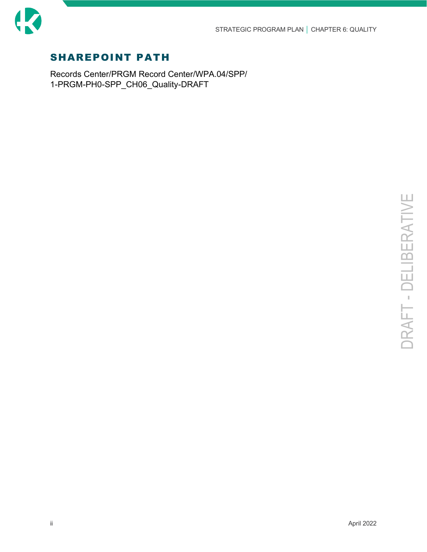

### SHAREPOINT PATH

Records Center/PRGM Record Center/WPA.04/SPP/ 1-PRGM-PH0-SPP\_CH06\_Quality-DRAFT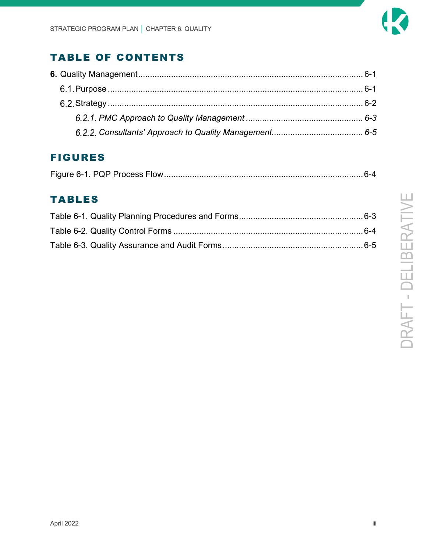

# TABLE OF CONTENTS

# FIGURES

|--|--|--|--|

# TABLES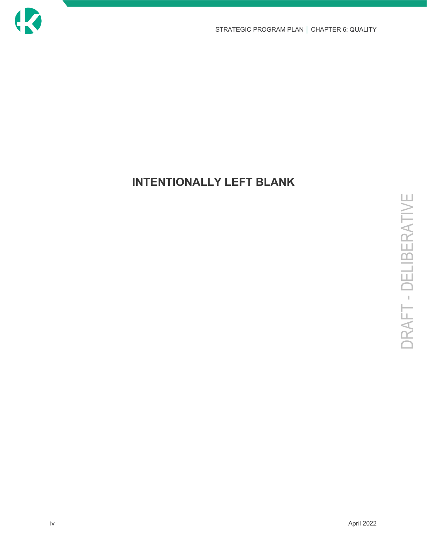

# **INTENTIONALLY LEFT BLANK**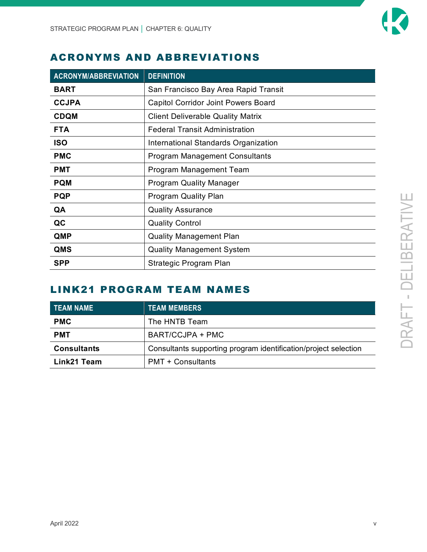

### ACRONYMS AND ABBREVIATIONS

| <b>ACRONYM/ABBREVIATION</b>               | <b>DEFINITION</b>                          |  |  |
|-------------------------------------------|--------------------------------------------|--|--|
| <b>BART</b>                               | San Francisco Bay Area Rapid Transit       |  |  |
| <b>CCJPA</b>                              | <b>Capitol Corridor Joint Powers Board</b> |  |  |
| <b>CDQM</b>                               | <b>Client Deliverable Quality Matrix</b>   |  |  |
| <b>FTA</b>                                | <b>Federal Transit Administration</b>      |  |  |
| <b>ISO</b>                                | International Standards Organization       |  |  |
| <b>PMC</b>                                | <b>Program Management Consultants</b>      |  |  |
| <b>PMT</b>                                | Program Management Team                    |  |  |
| <b>PQM</b>                                | <b>Program Quality Manager</b>             |  |  |
| <b>PQP</b><br><b>Program Quality Plan</b> |                                            |  |  |
| QA                                        | <b>Quality Assurance</b>                   |  |  |
| QC                                        | <b>Quality Control</b>                     |  |  |
| <b>QMP</b>                                | <b>Quality Management Plan</b>             |  |  |
| QMS                                       | <b>Quality Management System</b>           |  |  |
| <b>SPP</b>                                | Strategic Program Plan                     |  |  |

### LINK21 PROGRAM TEAM NAMES

| <b>TEAM NAME</b>   | <b>TEAM MEMBERS</b>                                             |
|--------------------|-----------------------------------------------------------------|
| <b>PMC</b>         | The HNTB Team                                                   |
| <b>PMT</b>         | BART/CCJPA + PMC                                                |
| <b>Consultants</b> | Consultants supporting program identification/project selection |
| Link21 Team        | <b>PMT + Consultants</b>                                        |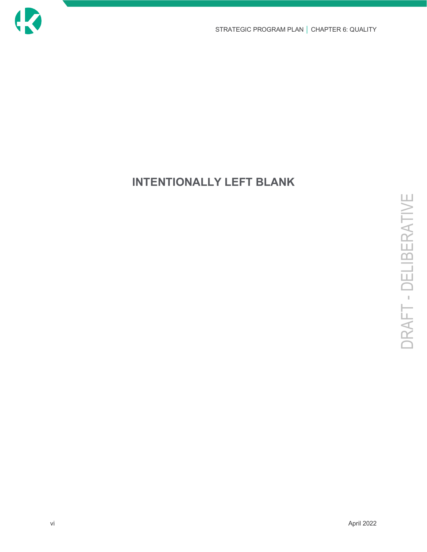

# **INTENTIONALLY LEFT BLANK**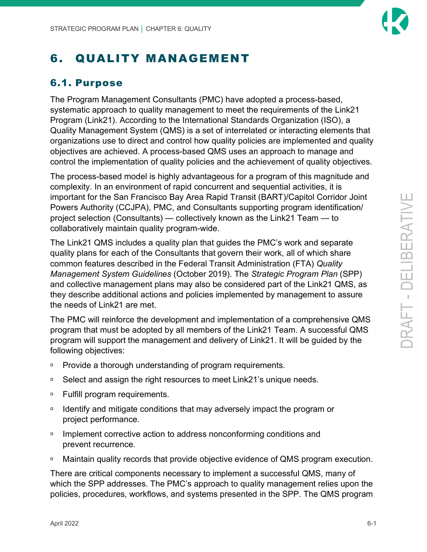# <span id="page-8-0"></span>6. QUALITY MANAGEMENT

### <span id="page-8-1"></span>6.1. Purpose

The Program Management Consultants (PMC) have adopted a process-based, systematic approach to quality management to meet the requirements of the Link21 Program (Link21). According to the International Standards Organization (ISO), a Quality Management System (QMS) is a set of interrelated or interacting elements that organizations use to direct and control how quality policies are implemented and quality objectives are achieved. A process-based QMS uses an approach to manage and control the implementation of quality policies and the achievement of quality objectives.

The process-based model is highly advantageous for a program of this magnitude and complexity. In an environment of rapid concurrent and sequential activities, it is important for the San Francisco Bay Area Rapid Transit (BART)/Capitol Corridor Joint Powers Authority (CCJPA), PMC, and Consultants supporting program identification/ project selection (Consultants) — collectively known as the Link21 Team — to collaboratively maintain quality program-wide.

The Link21 QMS includes a quality plan that guides the PMC's work and separate quality plans for each of the Consultants that govern their work, all of which share common features described in the Federal Transit Administration (FTA) *Quality Management System Guidelines* (October 2019). The *Strategic Program Plan* (SPP) and collective management plans may also be considered part of the Link21 QMS, as they describe additional actions and policies implemented by management to assure the needs of Link21 are met.

The PMC will reinforce the development and implementation of a comprehensive QMS program that must be adopted by all members of the Link21 Team. A successful QMS program will support the management and delivery of Link21. It will be guided by the following objectives:

- **Provide a thorough understanding of program requirements.**
- □ Select and assign the right resources to meet Link21's unique needs.
- □ Fulfill program requirements.
- □ Identify and mitigate conditions that may adversely impact the program or project performance.
- **Implement corrective action to address nonconforming conditions and** prevent recurrence.
- □ Maintain quality records that provide objective evidence of QMS program execution.

There are critical components necessary to implement a successful QMS, many of which the SPP addresses. The PMC's approach to quality management relies upon the policies, procedures, workflows, and systems presented in the SPP. The QMS program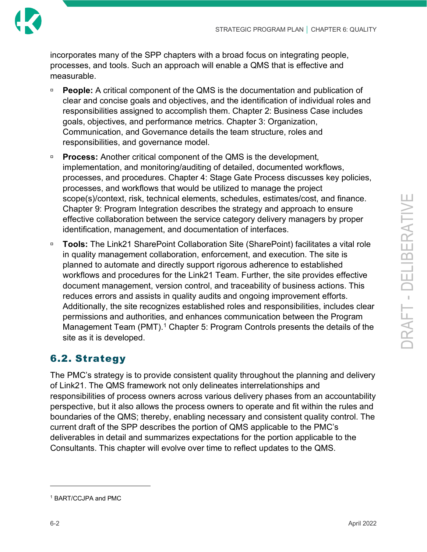

incorporates many of the SPP chapters with a broad focus on integrating people, processes, and tools. Such an approach will enable a QMS that is effective and measurable.

- **People:** A critical component of the QMS is the documentation and publication of clear and concise goals and objectives, and the identification of individual roles and responsibilities assigned to accomplish them. Chapter 2: Business Case includes goals, objectives, and performance metrics. Chapter 3: Organization, Communication, and Governance details the team structure, roles and responsibilities, and governance model.
- **Process:** Another critical component of the QMS is the development, implementation, and monitoring/auditing of detailed, documented workflows, processes, and procedures. Chapter 4: Stage Gate Process discusses key policies, processes, and workflows that would be utilized to manage the project scope(s)/context, risk, technical elements, schedules, estimates/cost, and finance. Chapter 9: Program Integration describes the strategy and approach to ensure effective collaboration between the service category delivery managers by proper identification, management, and documentation of interfaces.
- **Tools:** The Link21 SharePoint Collaboration Site (SharePoint) facilitates a vital role in quality management collaboration, enforcement, and execution. The site is planned to automate and directly support rigorous adherence to established workflows and procedures for the Link21 Team. Further, the site provides effective document management, version control, and traceability of business actions. This reduces errors and assists in quality audits and ongoing improvement efforts. Additionally, the site recognizes established roles and responsibilities, includes clear permissions and authorities, and enhances communication between the Program Management Team (PMT).<sup>[1](#page-9-1)</sup> Chapter 5: Program Controls presents the details of the site as it is developed.

# <span id="page-9-0"></span>6.2. Strategy

The PMC's strategy is to provide consistent quality throughout the planning and delivery of Link21. The QMS framework not only delineates interrelationships and responsibilities of process owners across various delivery phases from an accountability perspective, but it also allows the process owners to operate and fit within the rules and boundaries of the QMS; thereby, enabling necessary and consistent quality control. The current draft of the SPP describes the portion of QMS applicable to the PMC's deliverables in detail and summarizes expectations for the portion applicable to the Consultants. This chapter will evolve over time to reflect updates to the QMS.

<span id="page-9-1"></span><sup>1</sup> BART/CCJPA and PMC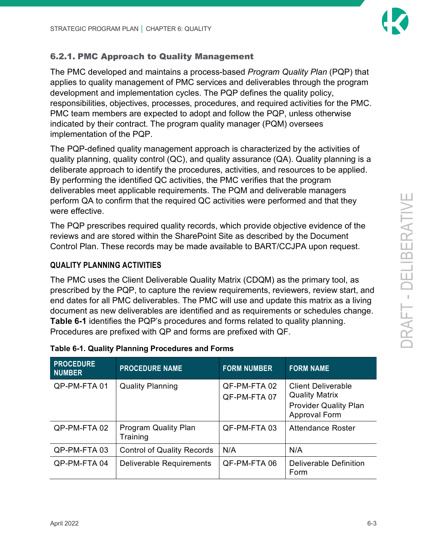

### <span id="page-10-0"></span>6.2.1. PMC Approach to Quality Management

The PMC developed and maintains a process-based *Program Quality Plan* (PQP) that applies to quality management of PMC services and deliverables through the program development and implementation cycles. The PQP defines the quality policy, responsibilities, objectives, processes, procedures, and required activities for the PMC. PMC team members are expected to adopt and follow the PQP, unless otherwise indicated by their contract. The program quality manager (PQM) oversees implementation of the PQP.

The PQP-defined quality management approach is characterized by the activities of quality planning, quality control (QC), and quality assurance (QA). Quality planning is a deliberate approach to identify the procedures, activities, and resources to be applied. By performing the identified QC activities, the PMC verifies that the program deliverables meet applicable requirements. The PQM and deliverable managers perform QA to confirm that the required QC activities were performed and that they were effective.

The PQP prescribes required quality records, which provide objective evidence of the reviews and are stored within the SharePoint Site as described by the Document Control Plan. These records may be made available to BART/CCJPA upon request.

### **QUALITY PLANNING ACTIVITIES**

The PMC uses the Client Deliverable Quality Matrix (CDQM) as the primary tool, as prescribed by the PQP, to capture the review requirements, reviewers, review start, and end dates for all PMC deliverables. The PMC will use and update this matrix as a living document as new deliverables are identified and as requirements or schedules change. **[Table 6-1](#page-10-1)** identifies the PQP's procedures and forms related to quality planning. Procedures are prefixed with QP and forms are prefixed with QF.

| <b>PROCEDURE</b><br><b>NUMBER</b> | <b>PROCEDURE NAME</b>                   | <b>FORM NUMBER</b>           | <b>FORM NAME</b>                                     |
|-----------------------------------|-----------------------------------------|------------------------------|------------------------------------------------------|
| QP-PM-FTA 01                      | <b>Quality Planning</b>                 | QF-PM-FTA 02<br>QF-PM-FTA 07 | <b>Client Deliverable</b><br><b>Quality Matrix</b>   |
|                                   |                                         |                              | <b>Provider Quality Plan</b><br><b>Approval Form</b> |
| QP-PM-FTA 02                      | <b>Program Quality Plan</b><br>Training | QF-PM-FTA 03                 | Attendance Roster                                    |
| QP-PM-FTA 03                      | <b>Control of Quality Records</b>       | N/A                          | N/A                                                  |
| QP-PM-FTA 04                      | Deliverable Requirements                | QF-PM-FTA 06                 | Deliverable Definition<br>Form                       |

#### <span id="page-10-1"></span>**Table 6-1. Quality Planning Procedures and Forms**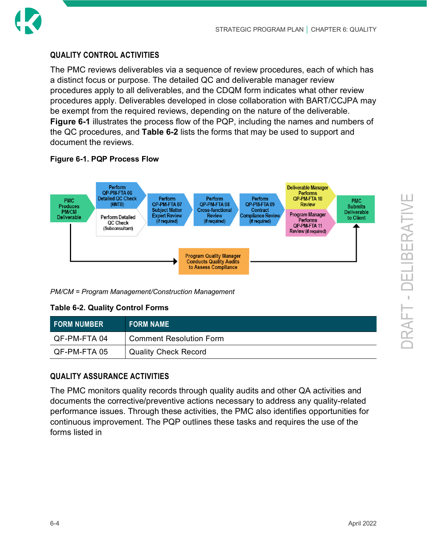

#### **QUALITY CONTROL ACTIVITIES**

The PMC reviews deliverables via a sequence of review procedures, each of which has a distinct focus or purpose. The detailed QC and deliverable manager review procedures apply to all deliverables, and the CDQM form indicates what other review procedures apply. Deliverables developed in close collaboration with BART/CCJPA may be exempt from the required reviews, depending on the nature of the deliverable. **[Figure 6-1](#page-11-0)** illustrates the process flow of the PQP, including the names and numbers of the QC procedures, and **[Table 6-2](#page-11-1)** lists the forms that may be used to support and document the reviews.

#### <span id="page-11-0"></span>**Figure 6-1. PQP Process Flow**



<span id="page-11-1"></span>*PM/CM = Program Management/Construction Management*

#### **Table 6-2. Quality Control Forms**

| I FORM NUMBER | <b>FORM NAME</b>            |
|---------------|-----------------------------|
| QF-PM-FTA 04  | Comment Resolution Form     |
| QF-PM-FTA 05  | <b>Quality Check Record</b> |

### **QUALITY ASSURANCE ACTIVITIES**

The PMC monitors quality records through quality audits and other QA activities and documents the corrective/preventive actions necessary to address any quality-related performance issues. Through these activities, the PMC also identifies opportunities for continuous im[provement. The PQP outlines](#page-12-1) these tasks and requires the use of the forms listed in